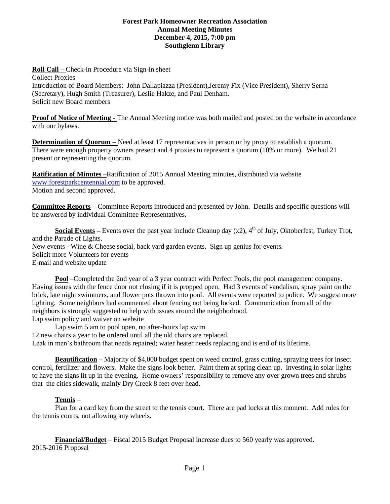#### **Forest Park Homeowner Recreation Association Annual Meeting Minutes December 4, 2015, 7:00 pm Southglenn Library**

**Roll Call –** Check-in Procedure via Sign-in sheet Collect Proxies Introduction of Board Members: John Dallapiazza (President),Jeremy Fix (Vice President), Sherry Serna (Secretary), Hugh Smith (Treasurer), Leslie Hakze, and Paul Denham. Solicit new Board members

**Proof of Notice of Meeting -** The Annual Meeting notice was both mailed and posted on the website in accordance with our bylaws.

**Determination of Ouorum – Need at least 17 representatives in person or by proxy to establish a quorum.** There were enough property owners present and 4 proxies to represent a quorum (10% or more). We had 21 present or representing the quorum.

**Ratification of Minutes –**Ratification of 2015 Annual Meeting minutes, distributed via website [www.forestparkcentennial.com](http://www.forestparkcentennial.com/) to be approved. Motion and second approved.

**Committee Reports –** Committee Reports introduced and presented by John. Details and specific questions will be answered by individual Committee Representatives.

**Social Events** – Events over the past year include Cleanup day  $(x2)$ ,  $4<sup>th</sup>$  of July, Oktoberfest, Turkey Trot, and the Parade of Lights. New events - Wine & Cheese social, back yard garden events. Sign up genius for events. Solicit more Volunteers for events E-mail and website update

**Pool** –Completed the 2nd year of a 3 year contract with Perfect Pools, the pool management company. Having issues with the fence door not closing if it is propped open. Had 3 events of vandalism, spray paint on the brick, late night swimmers, and flower pots thrown into pool. All events were reported to police. We suggest more lighting. Some neighbors had commented about fencing not being locked. Communication from all of the neighbors is strongly suggested to help with issues around the neighborhood. Lap swim policy and waiver on website

Lap swim 5 am to pool open, no after-hours lap swim 12 new chairs a year to be ordered until all the old chairs are replaced. Leak in men's bathroom that needs repaired; water heater needs replacing and is end of its lifetime.

**Beautification** – Majority of \$4,000 budget spent on weed control, grass cutting, spraying trees for insect control, fertilizer and flowers. Make the signs look better. Paint them at spring clean up. Investing in solar lights to have the signs lit up in the evening. Home owners' responsibility to remove any over grown trees and shrubs that the cities sidewalk, mainly Dry Creek 8 feet over head.

# **Tennis** –

Plan for a card key from the street to the tennis court. There are pad locks at this moment. Add rules for the tennis courts, not allowing any wheels.

**Financial/Budget** – Fiscal 2015 Budget Proposal increase dues to 560 yearly was approved. 2015-2016 Proposal